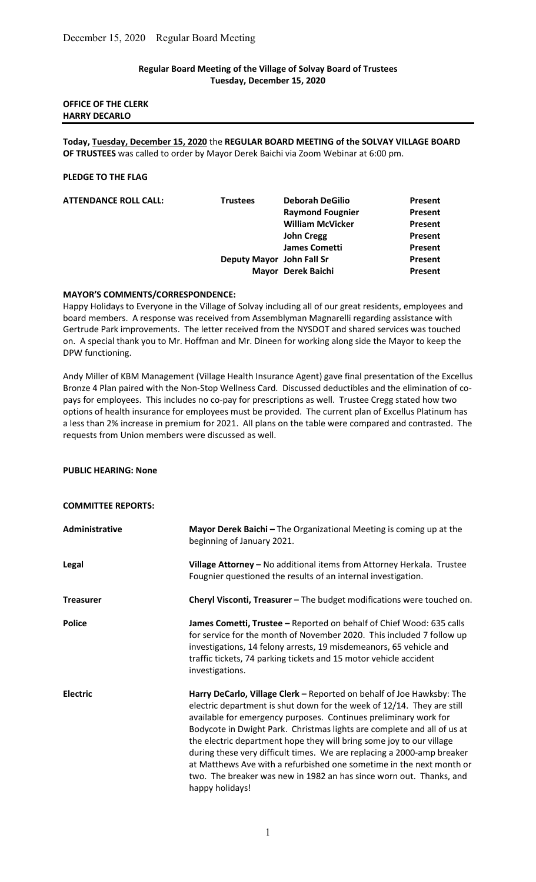### Regular Board Meeting of the Village of Solvay Board of Trustees Tuesday, December 15, 2020

# OFFICE OF THE CLERK HARRY DECARLO

Today, Tuesday, December 15, 2020 the REGULAR BOARD MEETING of the SOLVAY VILLAGE BOARD OF TRUSTEES was called to order by Mayor Derek Baichi via Zoom Webinar at 6:00 pm.

#### PLEDGE TO THE FLAG

| <b>ATTENDANCE ROLL CALL:</b> | <b>Trustees</b>           | <b>Deborah DeGilio</b>  | Present        |
|------------------------------|---------------------------|-------------------------|----------------|
|                              |                           | <b>Raymond Fougnier</b> | <b>Present</b> |
|                              |                           | <b>William McVicker</b> | Present        |
|                              |                           | <b>John Cregg</b>       | Present        |
|                              |                           | <b>James Cometti</b>    | Present        |
|                              | Deputy Mayor John Fall Sr |                         | Present        |
|                              |                           | Mayor Derek Baichi      | Present        |

#### MAYOR'S COMMENTS/CORRESPONDENCE:

Happy Holidays to Everyone in the Village of Solvay including all of our great residents, employees and board members. A response was received from Assemblyman Magnarelli regarding assistance with Gertrude Park improvements. The letter received from the NYSDOT and shared services was touched on. A special thank you to Mr. Hoffman and Mr. Dineen for working along side the Mayor to keep the DPW functioning.

Andy Miller of KBM Management (Village Health Insurance Agent) gave final presentation of the Excellus Bronze 4 Plan paired with the Non-Stop Wellness Card. Discussed deductibles and the elimination of copays for employees. This includes no co-pay for prescriptions as well. Trustee Cregg stated how two options of health insurance for employees must be provided. The current plan of Excellus Platinum has a less than 2% increase in premium for 2021. All plans on the table were compared and contrasted. The requests from Union members were discussed as well.

#### PUBLIC HEARING: None

#### COMMITTEE REPORTS:

| Administrative   | Mayor Derek Baichi - The Organizational Meeting is coming up at the<br>beginning of January 2021.                                                                                                                                                                                                                                                                                                                                                                                                                                                                                                                  |
|------------------|--------------------------------------------------------------------------------------------------------------------------------------------------------------------------------------------------------------------------------------------------------------------------------------------------------------------------------------------------------------------------------------------------------------------------------------------------------------------------------------------------------------------------------------------------------------------------------------------------------------------|
| Legal            | Village Attorney - No additional items from Attorney Herkala. Trustee<br>Fougnier questioned the results of an internal investigation.                                                                                                                                                                                                                                                                                                                                                                                                                                                                             |
| <b>Treasurer</b> | Cheryl Visconti, Treasurer - The budget modifications were touched on.                                                                                                                                                                                                                                                                                                                                                                                                                                                                                                                                             |
| <b>Police</b>    | James Cometti, Trustee - Reported on behalf of Chief Wood: 635 calls<br>for service for the month of November 2020. This included 7 follow up<br>investigations, 14 felony arrests, 19 misdemeanors, 65 vehicle and<br>traffic tickets, 74 parking tickets and 15 motor vehicle accident<br>investigations.                                                                                                                                                                                                                                                                                                        |
| <b>Electric</b>  | Harry DeCarlo, Village Clerk - Reported on behalf of Joe Hawksby: The<br>electric department is shut down for the week of 12/14. They are still<br>available for emergency purposes. Continues preliminary work for<br>Bodycote in Dwight Park. Christmas lights are complete and all of us at<br>the electric department hope they will bring some joy to our village<br>during these very difficult times. We are replacing a 2000-amp breaker<br>at Matthews Ave with a refurbished one sometime in the next month or<br>two. The breaker was new in 1982 an has since worn out. Thanks, and<br>happy holidays! |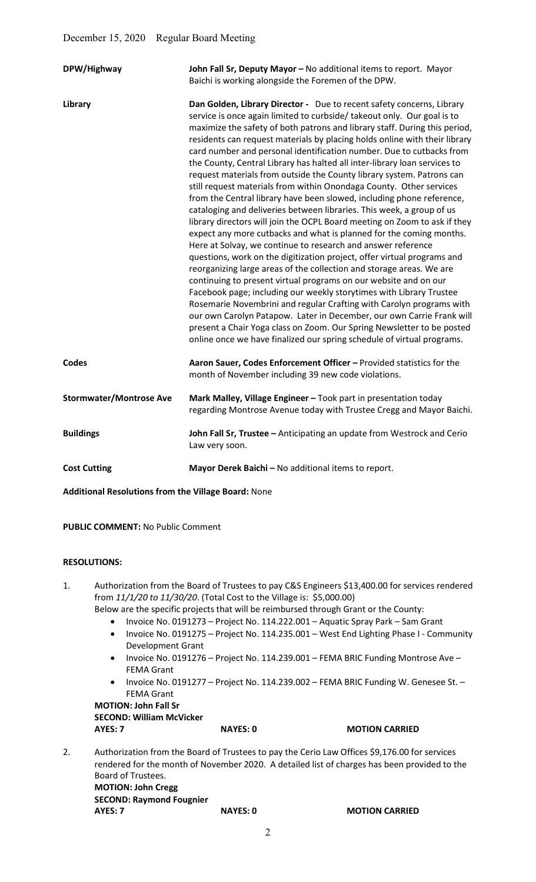| DPW/Highway                    | John Fall Sr, Deputy Mayor - No additional items to report. Mayor<br>Baichi is working alongside the Foremen of the DPW.                                                                                                                                                                                                                                                                                                                                                                                                                                                                                                                                                                                                                                                                                                                                                                                                                                                                                                                                                                                                                                                                                                                                                                                                                                                                                                                                                                                                                                                                   |
|--------------------------------|--------------------------------------------------------------------------------------------------------------------------------------------------------------------------------------------------------------------------------------------------------------------------------------------------------------------------------------------------------------------------------------------------------------------------------------------------------------------------------------------------------------------------------------------------------------------------------------------------------------------------------------------------------------------------------------------------------------------------------------------------------------------------------------------------------------------------------------------------------------------------------------------------------------------------------------------------------------------------------------------------------------------------------------------------------------------------------------------------------------------------------------------------------------------------------------------------------------------------------------------------------------------------------------------------------------------------------------------------------------------------------------------------------------------------------------------------------------------------------------------------------------------------------------------------------------------------------------------|
| Library                        | Dan Golden, Library Director - Due to recent safety concerns, Library<br>service is once again limited to curbside/ takeout only. Our goal is to<br>maximize the safety of both patrons and library staff. During this period,<br>residents can request materials by placing holds online with their library<br>card number and personal identification number. Due to cutbacks from<br>the County, Central Library has halted all inter-library loan services to<br>request materials from outside the County library system. Patrons can<br>still request materials from within Onondaga County. Other services<br>from the Central library have been slowed, including phone reference,<br>cataloging and deliveries between libraries. This week, a group of us<br>library directors will join the OCPL Board meeting on Zoom to ask if they<br>expect any more cutbacks and what is planned for the coming months.<br>Here at Solvay, we continue to research and answer reference<br>questions, work on the digitization project, offer virtual programs and<br>reorganizing large areas of the collection and storage areas. We are<br>continuing to present virtual programs on our website and on our<br>Facebook page; including our weekly storytimes with Library Trustee<br>Rosemarie Novembrini and regular Crafting with Carolyn programs with<br>our own Carolyn Patapow. Later in December, our own Carrie Frank will<br>present a Chair Yoga class on Zoom. Our Spring Newsletter to be posted<br>online once we have finalized our spring schedule of virtual programs. |
| <b>Codes</b>                   | Aaron Sauer, Codes Enforcement Officer - Provided statistics for the<br>month of November including 39 new code violations.                                                                                                                                                                                                                                                                                                                                                                                                                                                                                                                                                                                                                                                                                                                                                                                                                                                                                                                                                                                                                                                                                                                                                                                                                                                                                                                                                                                                                                                                |
| <b>Stormwater/Montrose Ave</b> | Mark Malley, Village Engineer - Took part in presentation today<br>regarding Montrose Avenue today with Trustee Cregg and Mayor Baichi.                                                                                                                                                                                                                                                                                                                                                                                                                                                                                                                                                                                                                                                                                                                                                                                                                                                                                                                                                                                                                                                                                                                                                                                                                                                                                                                                                                                                                                                    |
| <b>Buildings</b>               | John Fall Sr, Trustee - Anticipating an update from Westrock and Cerio<br>Law very soon.                                                                                                                                                                                                                                                                                                                                                                                                                                                                                                                                                                                                                                                                                                                                                                                                                                                                                                                                                                                                                                                                                                                                                                                                                                                                                                                                                                                                                                                                                                   |
| <b>Cost Cutting</b>            | Mayor Derek Baichi - No additional items to report.                                                                                                                                                                                                                                                                                                                                                                                                                                                                                                                                                                                                                                                                                                                                                                                                                                                                                                                                                                                                                                                                                                                                                                                                                                                                                                                                                                                                                                                                                                                                        |

Additional Resolutions from the Village Board: None

PUBLIC COMMENT: No Public Comment

# RESOLUTIONS:

1. Authorization from the Board of Trustees to pay C&S Engineers \$13,400.00 for services rendered from 11/1/20 to 11/30/20. (Total Cost to the Village is: \$5,000.00)

- Below are the specific projects that will be reimbursed through Grant or the County:
	- Invoice No. 0191273 Project No. 114.222.001 Aquatic Spray Park Sam Grant
	- Invoice No. 0191275 Project No. 114.235.001 West End Lighting Phase I Community Development Grant
	- Invoice No. 0191276 Project No. 114.239.001 FEMA BRIC Funding Montrose Ave FEMA Grant
	- Invoice No. 0191277 Project No. 114.239.002 FEMA BRIC Funding W. Genesee St. -FEMA Grant

MOTION: John Fall Sr SECOND: William McVicker AYES: 7 NAYES: 0 MOTION CARRIED

2. Authorization from the Board of Trustees to pay the Cerio Law Offices \$9,176.00 for services rendered for the month of November 2020. A detailed list of charges has been provided to the Board of Trustees. MOTION: John Cregg SECOND: Raymond Fougnier AYES: 7 NAYES: 0 MOTION CARRIED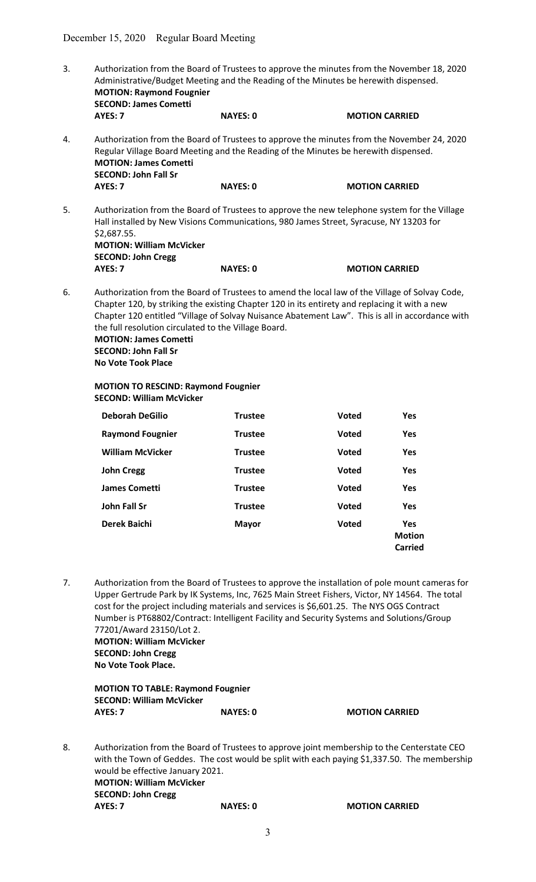- 3. Authorization from the Board of Trustees to approve the minutes from the November 18, 2020 Administrative/Budget Meeting and the Reading of the Minutes be herewith dispensed. MOTION: Raymond Fougnier SECOND: James Cometti AYES: 7 NAYES: 0 MOTION CARRIED 4. Authorization from the Board of Trustees to approve the minutes from the November 24, 2020 Regular Village Board Meeting and the Reading of the Minutes be herewith dispensed. MOTION: James Cometti SECOND: John Fall Sr AYES: 7 NAYES: 0 MOTION CARRIED 5. Authorization from the Board of Trustees to approve the new telephone system for the Village Hall installed by New Visions Communications, 980 James Street, Syracuse, NY 13203 for \$2,687.55. MOTION: William McVicker SECOND: John Cregg AYES: 7 NAYES: 0 MOTION CARRIED
- 6. Authorization from the Board of Trustees to amend the local law of the Village of Solvay Code, Chapter 120, by striking the existing Chapter 120 in its entirety and replacing it with a new Chapter 120 entitled "Village of Solvay Nuisance Abatement Law". This is all in accordance with the full resolution circulated to the Village Board. MOTION: James Cometti

SECOND: John Fall Sr No Vote Took Place

# MOTION TO RESCIND: Raymond Fougnier SECOND: William McVicker

| <b>Deborah DeGilio</b>  | <b>Trustee</b> | <b>Voted</b> | Yes                                    |
|-------------------------|----------------|--------------|----------------------------------------|
| <b>Raymond Fougnier</b> | <b>Trustee</b> | <b>Voted</b> | <b>Yes</b>                             |
| <b>William McVicker</b> | <b>Trustee</b> | <b>Voted</b> | <b>Yes</b>                             |
| <b>John Cregg</b>       | <b>Trustee</b> | <b>Voted</b> | <b>Yes</b>                             |
| <b>James Cometti</b>    | <b>Trustee</b> | <b>Voted</b> | <b>Yes</b>                             |
| John Fall Sr            | <b>Trustee</b> | <b>Voted</b> | <b>Yes</b>                             |
| Derek Baichi            | <b>Mayor</b>   | <b>Voted</b> | <b>Yes</b><br><b>Motion</b><br>Carried |

7. Authorization from the Board of Trustees to approve the installation of pole mount cameras for Upper Gertrude Park by IK Systems, Inc, 7625 Main Street Fishers, Victor, NY 14564. The total cost for the project including materials and services is \$6,601.25. The NYS OGS Contract Number is PT68802/Contract: Intelligent Facility and Security Systems and Solutions/Group 77201/Award 23150/Lot 2. MOTION: William McVicker SECOND: John Cregg

No Vote Took Place.

 MOTION TO TABLE: Raymond Fougnier SECOND: William McVicker AYES: 7 NAYES: 0 MOTION CARRIED

8. Authorization from the Board of Trustees to approve joint membership to the Centerstate CEO with the Town of Geddes. The cost would be split with each paying \$1,337.50. The membership would be effective January 2021. MOTION: William McVicker SECOND: John Cregg AYES: 7 NAYES: 0 MOTION CARRIED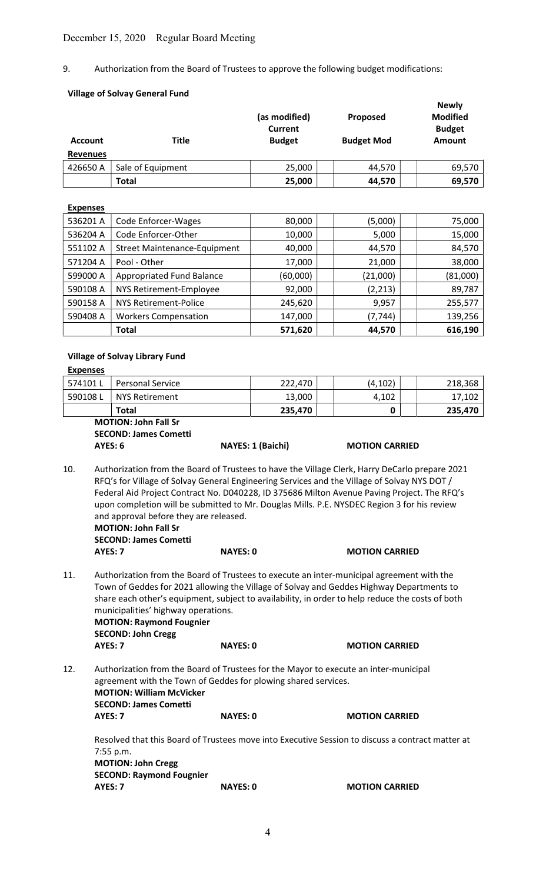9. Authorization from the Board of Trustees to approve the following budget modifications:

# Village of Solvay General Fund

| <b>Account</b><br><b>Revenues</b> | <b>Title</b>      | (as modified)<br><b>Current</b><br><b>Budget</b> | Proposed<br><b>Budget Mod</b> | <b>Newly</b><br><b>Modified</b><br><b>Budget</b><br><b>Amount</b> |
|-----------------------------------|-------------------|--------------------------------------------------|-------------------------------|-------------------------------------------------------------------|
| 426650 A                          | Sale of Equipment | 25,000                                           | 44,570                        | 69,570                                                            |
|                                   | <b>Total</b>      | 25,000                                           | 44,570                        | 69,570                                                            |
| <b>Expenses</b>                   |                   |                                                  |                               |                                                                   |

| 536201 A | Code Enforcer-Wages                 | 80,000   | (5,000)  | 75,000   |
|----------|-------------------------------------|----------|----------|----------|
| 536204 A | Code Enforcer-Other                 | 10,000   | 5,000    | 15,000   |
| 551102 A | <b>Street Maintenance-Equipment</b> | 40,000   | 44,570   | 84,570   |
| 571204 A | Pool - Other                        | 17,000   | 21,000   | 38,000   |
| 599000 A | Appropriated Fund Balance           | (60,000) | (21,000) | (81,000) |
| 590108 A | NYS Retirement-Employee             | 92,000   | (2, 213) | 89,787   |
| 590158 A | <b>NYS Retirement-Police</b>        | 245,620  | 9,957    | 255,577  |
| 590408 A | <b>Workers Compensation</b>         | 147,000  | (7, 744) | 139,256  |
|          | <b>Total</b>                        | 571,620  | 44,570   | 616,190  |

#### Village of Solvay Library Fund

| <b>Expenses</b> |                         |         |         |         |
|-----------------|-------------------------|---------|---------|---------|
| 574101L         | <b>Personal Service</b> | 222,470 | (4,102) | 218,368 |
| 590108L         | NYS Retirement          | 13,000  | 4,102   | 17,102  |
|                 | Total                   | 235,470 |         | 235,470 |

 MOTION: John Fall Sr SECOND: James Cometti AYES: 6 NAYES: 1 (Baichi) MOTION CARRIED

- 10. Authorization from the Board of Trustees to have the Village Clerk, Harry DeCarlo prepare 2021 RFQ's for Village of Solvay General Engineering Services and the Village of Solvay NYS DOT / Federal Aid Project Contract No. D040228, ID 375686 Milton Avenue Paving Project. The RFQ's upon completion will be submitted to Mr. Douglas Mills. P.E. NYSDEC Region 3 for his review and approval before they are released.
	- MOTION: John Fall Sr SECOND: James Cometti

AYES: 7 NAYES: 0 MOTION CARRIED 11. Authorization from the Board of Trustees to execute an inter-municipal agreement with the Town of Geddes for 2021 allowing the Village of Solvay and Geddes Highway Departments to share each other's equipment, subject to availability, in order to help reduce the costs of both municipalities' highway operations. MOTION: Raymond Fougnier SECOND: John Cregg AYES: 7 NAYES: 0 MOTION CARRIED

12. Authorization from the Board of Trustees for the Mayor to execute an inter-municipal agreement with the Town of Geddes for plowing shared services. MOTION: William McVicker SECOND: James Cometti AYES: 7 NAYES: 0 MOTION CARRIED

Resolved that this Board of Trustees move into Executive Session to discuss a contract matter at 7:55 p.m. MOTION: John Cregg SECOND: Raymond Fougnier AYES: 7 NAYES: 0 MOTION CARRIED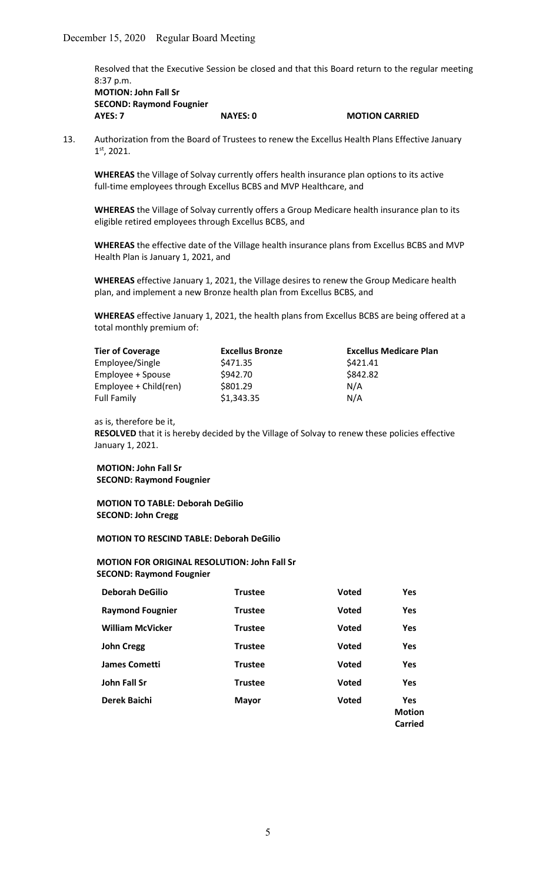Resolved that the Executive Session be closed and that this Board return to the regular meeting 8:37 p.m.

 MOTION: John Fall Sr SECOND: Raymond Fougnier AYES: 7 NAYES: 0 MOTION CARRIED

13. Authorization from the Board of Trustees to renew the Excellus Health Plans Effective January 1st, 2021.

WHEREAS the Village of Solvay currently offers health insurance plan options to its active full-time employees through Excellus BCBS and MVP Healthcare, and

 WHEREAS the Village of Solvay currently offers a Group Medicare health insurance plan to its eligible retired employees through Excellus BCBS, and

WHEREAS the effective date of the Village health insurance plans from Excellus BCBS and MVP Health Plan is January 1, 2021, and

 WHEREAS effective January 1, 2021, the Village desires to renew the Group Medicare health plan, and implement a new Bronze health plan from Excellus BCBS, and

WHEREAS effective January 1, 2021, the health plans from Excellus BCBS are being offered at a total monthly premium of:

| <b>Tier of Coverage</b> | <b>Excellus Bronze</b> | <b>Excellus Medicare Plan</b> |
|-------------------------|------------------------|-------------------------------|
| Employee/Single         | \$471.35               | \$421.41                      |
| Employee + Spouse       | \$942.70               | \$842.82                      |
| Employee + Child(ren)   | \$801.29               | N/A                           |
| <b>Full Family</b>      | \$1,343.35             | N/A                           |

as is, therefore be it,

RESOLVED that it is hereby decided by the Village of Solvay to renew these policies effective January 1, 2021.

MOTION: John Fall Sr SECOND: Raymond Fougnier

 MOTION TO TABLE: Deborah DeGilio SECOND: John Cregg

MOTION TO RESCIND TABLE: Deborah DeGilio

 MOTION FOR ORIGINAL RESOLUTION: John Fall Sr SECOND: Raymond Fougnier

| <b>Deborah DeGilio</b>  | <b>Trustee</b> | <b>Voted</b> | <b>Yes</b>                             |
|-------------------------|----------------|--------------|----------------------------------------|
| <b>Raymond Fougnier</b> | <b>Trustee</b> | <b>Voted</b> | Yes                                    |
| <b>William McVicker</b> | <b>Trustee</b> | <b>Voted</b> | Yes                                    |
| <b>John Cregg</b>       | <b>Trustee</b> | <b>Voted</b> | Yes                                    |
| <b>James Cometti</b>    | <b>Trustee</b> | <b>Voted</b> | <b>Yes</b>                             |
| John Fall Sr            | <b>Trustee</b> | <b>Voted</b> | Yes                                    |
| Derek Baichi            | <b>Mayor</b>   | <b>Voted</b> | <b>Yes</b><br><b>Motion</b><br>Carried |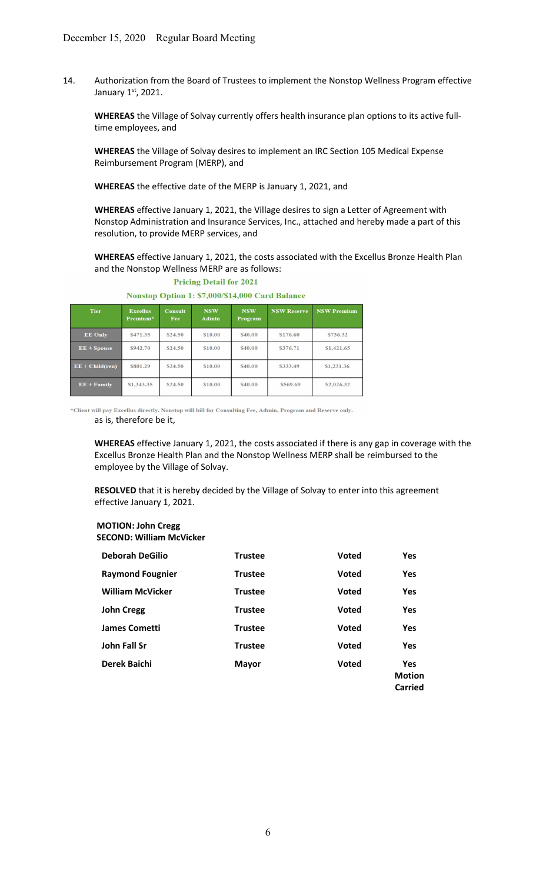14. Authorization from the Board of Trustees to implement the Nonstop Wellness Program effective January 1st, 2021.

 WHEREAS the Village of Solvay currently offers health insurance plan options to its active full time employees, and

 WHEREAS the Village of Solvay desires to implement an IRC Section 105 Medical Expense Reimbursement Program (MERP), and

WHEREAS the effective date of the MERP is January 1, 2021, and

 WHEREAS effective January 1, 2021, the Village desires to sign a Letter of Agreement with Nonstop Administration and Insurance Services, Inc., attached and hereby made a part of this resolution, to provide MERP services, and

WHEREAS effective January 1, 2021, the costs associated with the Excellus Bronze Health Plan and the Nonstop Wellness MERP are as follows:

#### **Excellus**<br>Premium NSW<br>Admin **NSW Reserve NSW Premium** Consult **NSW** Fee Progra EE Only \$471.35 \$24.50 \$10.00 \$40.00 \$176.60 \$736.32 \$942.70 \$24.50  $\mathbf{EE}+\mathbf{Spouse}$ \$10.00 \$40.00 \$376.71 \$1,421.65  $EE + Child(ren)$ \$801.29 \$24.50 \$10.00 \$40.00 \$333.49 \$1,231.36  $EE + Family$ \$1,343.35 \$24.50 \$10.00 \$40.00 \$569.69 \$2,026.32

# **Pricing Detail for 2021** Nonstop Option 1: \$7,000/\$14,000 Card Balance

\*Client will pay Excellus directly. Nonstop will bill for Consulting Fee, Admin, Program and Reserve only. as is, therefore be it,

WHEREAS effective January 1, 2021, the costs associated if there is any gap in coverage with the Excellus Bronze Health Plan and the Nonstop Wellness MERP shall be reimbursed to the employee by the Village of Solvay.

RESOLVED that it is hereby decided by the Village of Solvay to enter into this agreement effective January 1, 2021.

#### MOTION: John Cregg SECOND: William McVicker

| <b>Deborah DeGilio</b>  | <b>Trustee</b> | <b>Voted</b> | <b>Yes</b>                                    |
|-------------------------|----------------|--------------|-----------------------------------------------|
| <b>Raymond Fougnier</b> | <b>Trustee</b> | <b>Voted</b> | <b>Yes</b>                                    |
| <b>William McVicker</b> | <b>Trustee</b> | <b>Voted</b> | <b>Yes</b>                                    |
| <b>John Cregg</b>       | <b>Trustee</b> | <b>Voted</b> | <b>Yes</b>                                    |
| <b>James Cometti</b>    | <b>Trustee</b> | <b>Voted</b> | <b>Yes</b>                                    |
| John Fall Sr            | <b>Trustee</b> | <b>Voted</b> | <b>Yes</b>                                    |
| Derek Baichi            | <b>Mayor</b>   | <b>Voted</b> | <b>Yes</b><br><b>Motion</b><br><b>Carried</b> |